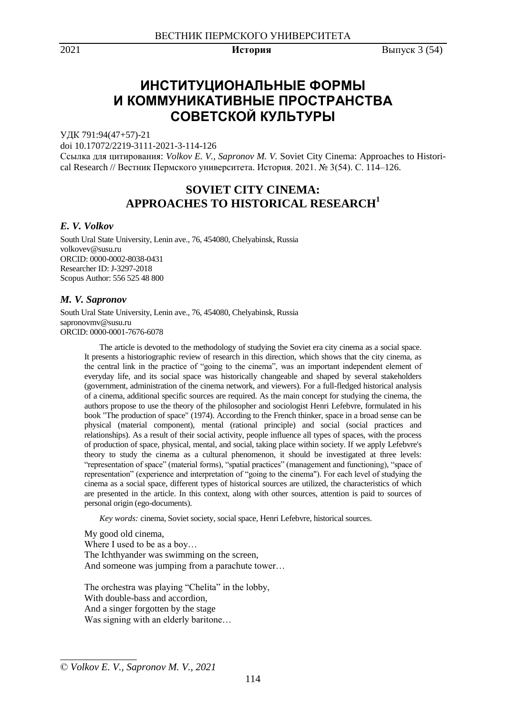2021 **История** Выпуск 3 (54)

# **ИНСТИТУЦИОНАЛЬНЫЕ ФОРМЫ И КОММУНИКАТИВНЫЕ ПРОСТРАНСТВА СОВЕТСКОЙ КУЛЬТУРЫ**

УДК 791:94(47+57)-21

doi 10.17072/2219-3111-2021-3-114-126

Ссылка для цитирования: *Volkov E. V., Sapronov M. V.* Soviet City Cinema: Approaches to Historical Research // Вестник Пермского университета. История. 2021. № 3(54). С. 114–126.

# **SOVIET CITY CINEMA: APPROACHES TO HISTORICAL RESEARCH<sup>1</sup>**

# *E. V. Volkov*

South Ural State University, Lenin ave., 76, 454080, Chelyabinsk, Russia volkovev@susu.ru ORCID: 0000-0002-8038-0431 Researcher ID: J-3297-2018 Scopus Author: 556 525 48 800

### *M. V. Sapronov*

South Ural State University, Lenin ave., 76, 454080, Chelyabinsk, Russia sapronovmv@susu.ru ORCID: 0000-0001-7676-6078

> The article is devoted to the methodology of studying the Soviet era city cinema as a social space. It presents a historiographic review of research in this direction, which shows that the city cinema, as the central link in the practice of "going to the cinema", was an important independent element of everyday life, and its social space was historically changeable and shaped by several stakeholders (government, administration of the cinema network, and viewers). For a full-fledged historical analysis of a cinema, additional specific sources are required. As the main concept for studying the cinema, the authors propose to use the theory of the philosopher and sociologist Henri Lefebvre, formulated in his book "The production of space" (1974). According to the French thinker, space in a broad sense can be physical (material component), mental (rational principle) and social (social practices and relationships). As a result of their social activity, people influence all types of spaces, with the process of production of space, physical, mental, and social, taking place within society. If we apply Lefebvre's theory to study the cinema as a cultural phenomenon, it should be investigated at three levels: "representation of space" (material forms), "spatial practices" (management and functioning), "space of representation" (experience and interpretation of "going to the cinema"). For each level of studying the cinema as a social space, different types of historical sources are utilized, the characteristics of which are presented in the article. In this context, along with other sources, attention is paid to sources of personal origin (ego-documents).

*Key words:* cinema, Soviet society, social space, Henri Lefebvre, historical sources.

My good old cinema, Where I used to be as a boy… The Ichthyander was swimming on the screen, And someone was jumping from a parachute tower…

The orchestra was playing "Chelita" in the lobby, With double-bass and accordion, And a singer forgotten by the stage Was signing with an elderly baritone...

\_\_\_\_\_\_\_\_\_\_\_\_\_\_\_

<sup>©</sup> *Volkov E. V., Sapronov M. V., 2021*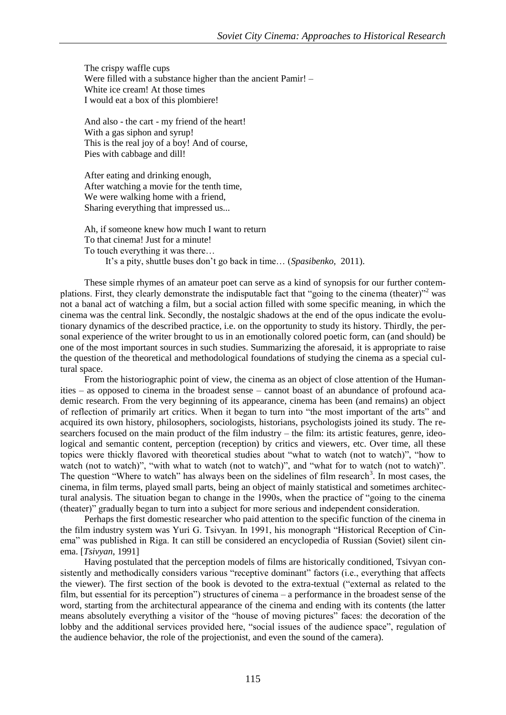The crispy waffle cups Were filled with a substance higher than the ancient Pamir! – White ice cream! At those times I would eat a box of this plombiere!

And also - the cart - my friend of the heart! With a gas siphon and syrup! This is the real joy of a boy! And of course, Pies with cabbage and dill!

After eating and drinking enough, After watching a movie for the tenth time, We were walking home with a friend, Sharing everything that impressed us...

Ah, if someone knew how much I want to return To that cinema! Just for a minute! To touch everything it was there… It's a pity, shuttle buses don't go back in time… (*Spasibenko,* 2011).

These simple rhymes of an amateur poet can serve as a kind of synopsis for our further contemplations. First, they clearly demonstrate the indisputable fact that "going to the cinema (theater)"<sup>2</sup> was not a banal act of watching a film, but a social action filled with some specific meaning, in which the cinema was the central link. Secondly, the nostalgic shadows at the end of the opus indicate the evolutionary dynamics of the described practice, i.e. on the opportunity to study its history. Thirdly, the personal experience of the writer brought to us in an emotionally colored poetic form, can (and should) be one of the most important sources in such studies. Summarizing the aforesaid, it is appropriate to raise the question of the theoretical and methodological foundations of studying the cinema as a special cultural space.

From the historiographic point of view, the cinema as an object of close attention of the Humanities – as opposed to cinema in the broadest sense – cannot boast of an abundance of profound academic research. From the very beginning of its appearance, cinema has been (and remains) an object of reflection of primarily art critics. When it began to turn into "the most important of the arts" and acquired its own history, philosophers, sociologists, historians, psychologists joined its study. The researchers focused on the main product of the film industry – the film: its artistic features, genre, ideological and semantic content, perception (reception) by critics and viewers, etc. Over time, all these topics were thickly flavored with theoretical studies about "what to watch (not to watch)", "how to watch (not to watch)", "with what to watch (not to watch)", and "what for to watch (not to watch)". The question "Where to watch" has always been on the sidelines of film research<sup>3</sup>. In most cases, the cinema, in film terms, played small parts, being an object of mainly statistical and sometimes architectural analysis. The situation began to change in the 1990s, when the practice of "going to the cinema (theater)" gradually began to turn into a subject for more serious and independent consideration.

Perhaps the first domestic researcher who paid attention to the specific function of the cinema in the film industry system was Yuri G. Tsivyan. In 1991, his monograph "Historical Reception of Cinema" was published in Riga. It can still be considered an encyclopedia of Russian (Soviet) silent cinema. [*Tsivyan*, 1991]

Having postulated that the perception models of films are historically conditioned, Tsivyan consistently and methodically considers various "receptive dominant" factors (i.e., everything that affects the viewer). The first section of the book is devoted to the extra-textual ("external as related to the film, but essential for its perception") structures of cinema – a performance in the broadest sense of the word, starting from the architectural appearance of the cinema and ending with its contents (the latter means absolutely everything a visitor of the "house of moving pictures" faces: the decoration of the lobby and the additional services provided here, "social issues of the audience space", regulation of the audience behavior, the role of the projectionist, and even the sound of the camera).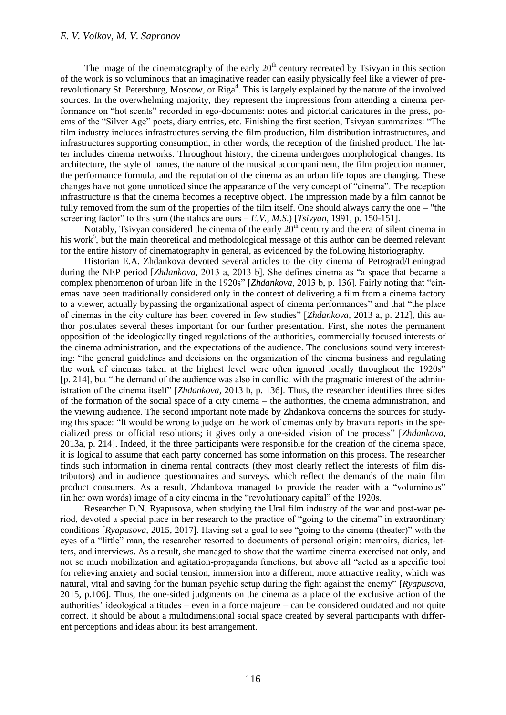The image of the cinematography of the early  $20<sup>th</sup>$  century recreated by Tsivyan in this section of the work is so voluminous that an imaginative reader can easily physically feel like a viewer of prerevolutionary St. Petersburg, Moscow, or Riga<sup>4</sup>. This is largely explained by the nature of the involved sources. In the overwhelming majority, they represent the impressions from attending a cinema performance on "hot scents" recorded in ego-documents: notes and pictorial caricatures in the press, poems of the "Silver Age" poets, diary entries, etc. Finishing the first section, Tsivyan summarizes: "The film industry includes infrastructures serving the film production, film distribution infrastructures, and infrastructures supporting consumption, in other words, the reception of the finished product. The latter includes cinema networks. Throughout history, the cinema undergoes morphological changes. Its architecture, the style of names, the nature of the musical accompaniment, the film projection manner, the performance formula, and the reputation of the cinema as an urban life topos are changing. These changes have not gone unnoticed since the appearance of the very concept of "cinema". The reception infrastructure is that the cinema becomes a receptive object. The impression made by a film cannot be fully removed from the sum of the properties of the film itself. One should always carry the one – "the screening factor" to this sum (the italics are ours  $-E.V., M.S.)$  [*Tsivyan*, 1991, p. 150-151].

Notably, Tsivyan considered the cinema of the early  $20<sup>th</sup>$  century and the era of silent cinema in his work<sup>5</sup>, but the main theoretical and methodological message of this author can be deemed relevant for the entire history of cinematography in general, as evidenced by the following historiography.

Historian E.A. Zhdankova devoted several articles to the city cinema of Petrograd/Leningrad during the NEP period [*Zhdankova,* 2013 a, 2013 b]. She defines cinema as "a space that became a complex phenomenon of urban life in the 1920s" [*Zhdankova*, 2013 b, p. 136]. Fairly noting that "cinemas have been traditionally considered only in the context of delivering a film from a cinema factory to a viewer, actually bypassing the organizational aspect of cinema performances" and that "the place of cinemas in the city culture has been covered in few studies" [*Zhdankova,* 2013 a, p. 212], this author postulates several theses important for our further presentation. First, she notes the permanent opposition of the ideologically tinged regulations of the authorities, commercially focused interests of the cinema administration, and the expectations of the audience. The conclusions sound very interesting: "the general guidelines and decisions on the organization of the cinema business and regulating the work of cinemas taken at the highest level were often ignored locally throughout the 1920s" [p. 214], but "the demand of the audience was also in conflict with the pragmatic interest of the administration of the cinema itself" [*Zhdankova*, 2013 b, p. 136]. Thus, the researcher identifies three sides of the formation of the social space of a city cinema – the authorities, the cinema administration, and the viewing audience. The second important note made by Zhdankova concerns the sources for studying this space: "It would be wrong to judge on the work of cinemas only by bravura reports in the specialized press or official resolutions; it gives only a one-sided vision of the process" [*Zhdankova,* 2013a, p. 214]. Indeed, if the three participants were responsible for the creation of the cinema space, it is logical to assume that each party concerned has some information on this process. The researcher finds such information in cinema rental contracts (they most clearly reflect the interests of film distributors) and in audience questionnaires and surveys, which reflect the demands of the main film product consumers. As a result, Zhdankova managed to provide the reader with a "voluminous" (in her own words) image of a city cinema in the "revolutionary capital" of the 1920s.

Researcher D.N. Ryapusova, when studying the Ural film industry of the war and post-war period, devoted a special place in her research to the practice of "going to the cinema" in extraordinary conditions [*Ryapusova,* 2015, 2017]. Having set a goal to see "going to the cinema (theater)" with the eyes of a "little" man, the researcher resorted to documents of personal origin: memoirs, diaries, letters, and interviews. As a result, she managed to show that the wartime cinema exercised not only, and not so much mobilization and agitation-propaganda functions, but above all "acted as a specific tool for relieving anxiety and social tension, immersion into a different, more attractive reality, which was natural, vital and saving for the human psychic setup during the fight against the enemy" [*Ryapusova,*  2015, p.106]. Thus, the one-sided judgments on the cinema as a place of the exclusive action of the authorities' ideological attitudes – even in a force majeure – can be considered outdated and not quite correct. It should be about a multidimensional social space created by several participants with different perceptions and ideas about its best arrangement.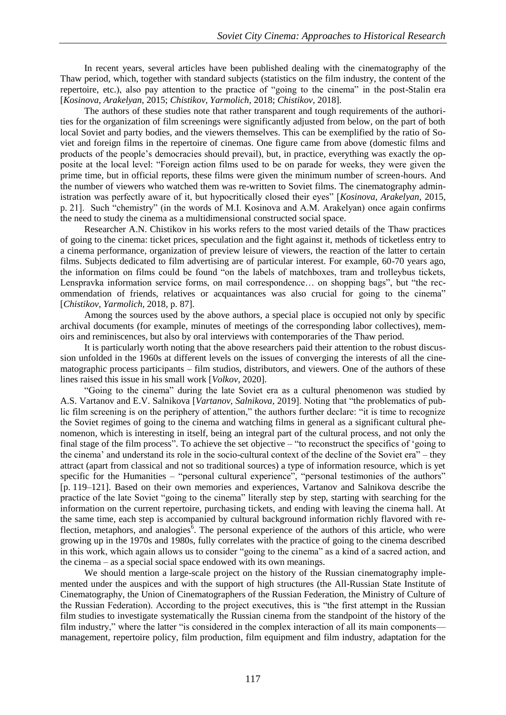In recent years, several articles have been published dealing with the cinematography of the Thaw period, which, together with standard subjects (statistics on the film industry, the content of the repertoire, etc.), also pay attention to the practice of "going to the cinema" in the post-Stalin era [*Kosinova, Arakelyan,* 2015; *Chistikov, Yarmolich,* 2018; *Chistikov,* 2018].

The authors of these studies note that rather transparent and tough requirements of the authorities for the organization of film screenings were significantly adjusted from below, on the part of both local Soviet and party bodies, and the viewers themselves. This can be exemplified by the ratio of Soviet and foreign films in the repertoire of cinemas. One figure came from above (domestic films and products of the people's democracies should prevail), but, in practice, everything was exactly the opposite at the local level: "Foreign action films used to be on parade for weeks, they were given the prime time, but in official reports, these films were given the minimum number of screen-hours. And the number of viewers who watched them was re-written to Soviet films. The cinematography administration was perfectly aware of it, but hypocritically closed their eyes" [*Kosinova, Arakelyan,* 2015, p. 21]. Such "chemistry" (in the words of M.I. Kosinova and A.M. Arakelyan) once again confirms the need to study the cinema as a multidimensional constructed social space.

Researcher A.N. Chistikov in his works refers to the most varied details of the Thaw practices of going to the cinema: ticket prices, speculation and the fight against it, methods of ticketless entry to a cinema performance, organization of preview leisure of viewers, the reaction of the latter to certain films. Subjects dedicated to film advertising are of particular interest. For example, 60-70 years ago, the information on films could be found "on the labels of matchboxes, tram and trolleybus tickets, Lenspravka information service forms, on mail correspondence… on shopping bags", but "the recommendation of friends, relatives or acquaintances was also crucial for going to the cinema" [*Chistikov, Yarmolich,* 2018*,* p. 87].

Among the sources used by the above authors, a special place is occupied not only by specific archival documents (for example, minutes of meetings of the corresponding labor collectives), memoirs and reminiscences, but also by oral interviews with contemporaries of the Thaw period.

It is particularly worth noting that the above researchers paid their attention to the robust discussion unfolded in the 1960s at different levels on the issues of converging the interests of all the cinematographic process participants – film studios, distributors, and viewers. One of the authors of these lines raised this issue in his small work [*Volkov,* 2020].

"Going to the cinema" during the late Soviet era as a cultural phenomenon was studied by A.S. Vartanov and E.V. Salnikova [*Vartanov, Salnikova,* 2019]. Noting that "the problematics of public film screening is on the periphery of attention," the authors further declare: "it is time to recognize the Soviet regimes of going to the cinema and watching films in general as a significant cultural phenomenon, which is interesting in itself, being an integral part of the cultural process, and not only the final stage of the film process". To achieve the set objective – "to reconstruct the specifics of 'going to the cinema' and understand its role in the socio-cultural context of the decline of the Soviet era" – they attract (apart from classical and not so traditional sources) a type of information resource, which is yet specific for the Humanities – "personal cultural experience", "personal testimonies of the authors" [p. 119–121]. Based on their own memories and experiences, Vartanov and Salnikova describe the practice of the late Soviet "going to the cinema" literally step by step, starting with searching for the information on the current repertoire, purchasing tickets, and ending with leaving the cinema hall. At the same time, each step is accompanied by cultural background information richly flavored with reflection, metaphors, and analogies<sup> $\delta$ </sup>. The personal experience of the authors of this article, who were growing up in the 1970s and 1980s, fully correlates with the practice of going to the cinema described in this work, which again allows us to consider "going to the cinema" as a kind of a sacred action, and the cinema – as a special social space endowed with its own meanings.

We should mention a large-scale project on the history of the Russian cinematography implemented under the auspices and with the support of high structures (the All-Russian State Institute of Cinematography, the Union of Cinematographers of the Russian Federation, the Ministry of Culture of the Russian Federation). According to the project executives, this is "the first attempt in the Russian film studies to investigate systematically the Russian cinema from the standpoint of the history of the film industry," where the latter "is considered in the complex interaction of all its main components management, repertoire policy, film production, film equipment and film industry, adaptation for the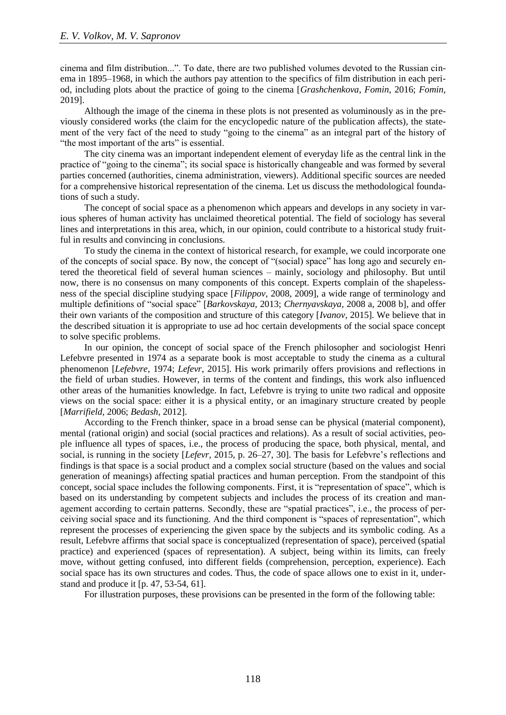cinema and film distribution...". To date, there are two published volumes devoted to the Russian cinema in 1895–1968, in which the authors pay attention to the specifics of film distribution in each period, including plots about the practice of going to the cinema [*Grashchenkova, Fomin,* 2016; *Fomin,* 2019].

Although the image of the cinema in these plots is not presented as voluminously as in the previously considered works (the claim for the encyclopedic nature of the publication affects), the statement of the very fact of the need to study "going to the cinema" as an integral part of the history of "the most important of the arts" is essential.

The city cinema was an important independent element of everyday life as the central link in the practice of "going to the cinema"; its social space is historically changeable and was formed by several parties concerned (authorities, cinema administration, viewers). Additional specific sources are needed for a comprehensive historical representation of the cinema. Let us discuss the methodological foundations of such a study.

The concept of social space as a phenomenon which appears and develops in any society in various spheres of human activity has unclaimed theoretical potential. The field of sociology has several lines and interpretations in this area, which, in our opinion, could contribute to a historical study fruitful in results and convincing in conclusions.

To study the cinema in the context of historical research, for example, we could incorporate one of the concepts of social space. By now, the concept of "(social) space" has long ago and securely entered the theoretical field of several human sciences – mainly, sociology and philosophy. But until now, there is no consensus on many components of this concept. Experts complain of the shapelessness of the special discipline studying space [*Filippov,* 2008, 2009], a wide range of terminology and multiple definitions of "social space" [*Barkovskaya,* 2013; *Chernyavskaya,* 2008 a, 2008 b], and offer their own variants of the composition and structure of this category [*Ivanov,* 2015]. We believe that in the described situation it is appropriate to use ad hoc certain developments of the social space concept to solve specific problems.

In our opinion, the concept of social space of the French philosopher and sociologist Henri Lefebvre presented in 1974 as a separate book is most acceptable to study the cinema as a cultural phenomenon [*Lefebvre,* 1974; *Lefevr,* 2015]. His work primarily offers provisions and reflections in the field of urban studies. However, in terms of the content and findings, this work also influenced other areas of the humanities knowledge. In fact, Lefebvre is trying to unite two radical and opposite views on the social space: either it is a physical entity, or an imaginary structure created by people [*Marrifield,* 2006; *Bedash,* 2012].

According to the French thinker, space in a broad sense can be physical (material component), mental (rational origin) and social (social practices and relations). As a result of social activities, people influence all types of spaces, i.e., the process of producing the space, both physical, mental, and social, is running in the society [*Lefevr,* 2015*,* p. 26–27, 30]. The basis for Lefebvre's reflections and findings is that space is a social product and a complex social structure (based on the values and social generation of meanings) affecting spatial practices and human perception. From the standpoint of this concept, social space includes the following components. First, it is "representation of space", which is based on its understanding by competent subjects and includes the process of its creation and management according to certain patterns. Secondly, these are "spatial practices", i.e., the process of perceiving social space and its functioning. And the third component is "spaces of representation", which represent the processes of experiencing the given space by the subjects and its symbolic coding. As a result, Lefebvre affirms that social space is conceptualized (representation of space), perceived (spatial practice) and experienced (spaces of representation). A subject, being within its limits, can freely move, without getting confused, into different fields (comprehension, perception, experience). Each social space has its own structures and codes. Thus, the code of space allows one to exist in it, understand and produce it [p. 47, 53-54, 61].

For illustration purposes, these provisions can be presented in the form of the following table: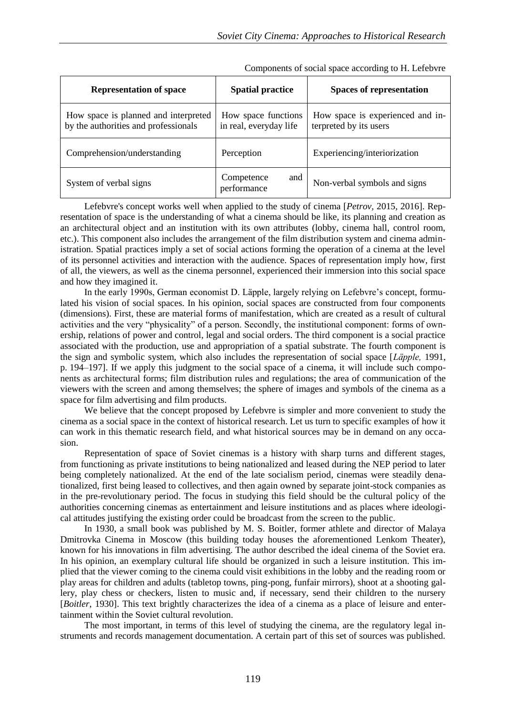| <b>Representation of space</b>                                               | <b>Spatial practice</b>                       | <b>Spaces of representation</b>                            |
|------------------------------------------------------------------------------|-----------------------------------------------|------------------------------------------------------------|
| How space is planned and interpreted<br>by the authorities and professionals | How space functions<br>in real, everyday life | How space is experienced and in-<br>terpreted by its users |
| Comprehension/understanding                                                  | Perception                                    | Experiencing/interiorization                               |
| System of verbal signs                                                       | and<br>Competence<br>performance              | Non-verbal symbols and signs                               |

Components of social space according to H. Lefebvre

Lefebvre's concept works well when applied to the study of cinema [*Petrov,* 2015, 2016]. Representation of space is the understanding of what a cinema should be like, its planning and creation as an architectural object and an institution with its own attributes (lobby, cinema hall, control room, etc.). This component also includes the arrangement of the film distribution system and cinema administration. Spatial practices imply a set of social actions forming the operation of a cinema at the level of its personnel activities and interaction with the audience. Spaces of representation imply how, first of all, the viewers, as well as the cinema personnel, experienced their immersion into this social space and how they imagined it.

In the early 1990s, German economist D. Läpple, largely relying on Lefebvre's concept, formulated his vision of social spaces. In his opinion, social spaces are constructed from four components (dimensions). First, these are material forms of manifestation, which are created as a result of cultural activities and the very "physicality" of a person. Secondly, the institutional component: forms of ownership, relations of power and control, legal and social orders. The third component is a social practice associated with the production, use and appropriation of a spatial substrate. The fourth component is the sign and symbolic system, which also includes the representation of social space [*Läpple,* 1991, p. 194–197]. If we apply this judgment to the social space of a cinema, it will include such components as architectural forms; film distribution rules and regulations; the area of communication of the viewers with the screen and among themselves; the sphere of images and symbols of the cinema as a space for film advertising and film products.

We believe that the concept proposed by Lefebvre is simpler and more convenient to study the cinema as a social space in the context of historical research. Let us turn to specific examples of how it can work in this thematic research field, and what historical sources may be in demand on any occasion.

Representation of space of Soviet cinemas is a history with sharp turns and different stages, from functioning as private institutions to being nationalized and leased during the NEP period to later being completely nationalized. At the end of the late socialism period, cinemas were steadily denationalized, first being leased to collectives, and then again owned by separate joint-stock companies as in the pre-revolutionary period. The focus in studying this field should be the cultural policy of the authorities concerning cinemas as entertainment and leisure institutions and as places where ideological attitudes justifying the existing order could be broadcast from the screen to the public.

In 1930, a small book was published by M. S. Boitler, former athlete and director of Malaya Dmitrovka Cinema in Moscow (this building today houses the aforementioned Lenkom Theater), known for his innovations in film advertising. The author described the ideal cinema of the Soviet era. In his opinion, an exemplary cultural life should be organized in such a leisure institution. This implied that the viewer coming to the cinema could visit exhibitions in the lobby and the reading room or play areas for children and adults (tabletop towns, ping-pong, funfair mirrors), shoot at a shooting gallery, play chess or checkers, listen to music and, if necessary, send their children to the nursery [*Boitler*, 1930]. This text brightly characterizes the idea of a cinema as a place of leisure and entertainment within the Soviet cultural revolution.

The most important, in terms of this level of studying the cinema, are the regulatory legal instruments and records management documentation. A certain part of this set of sources was published.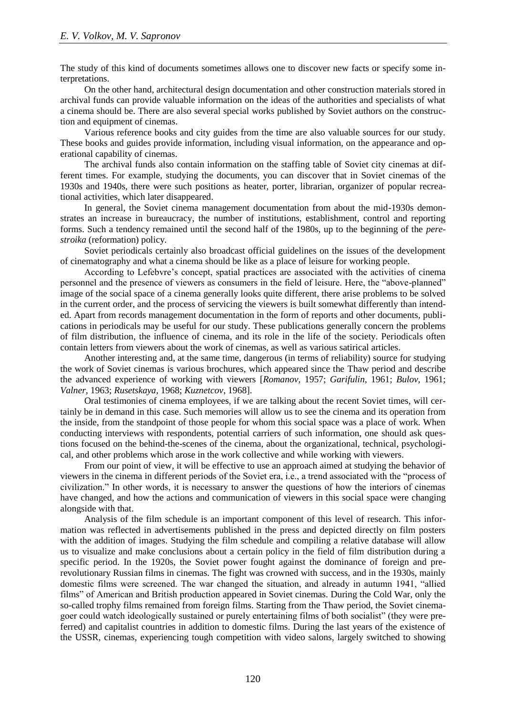The study of this kind of documents sometimes allows one to discover new facts or specify some interpretations.

On the other hand, architectural design documentation and other construction materials stored in archival funds can provide valuable information on the ideas of the authorities and specialists of what a cinema should be. There are also several special works published by Soviet authors on the construction and equipment of cinemas.

Various reference books and city guides from the time are also valuable sources for our study. These books and guides provide information, including visual information, on the appearance and operational capability of cinemas.

The archival funds also contain information on the staffing table of Soviet city cinemas at different times. For example, studying the documents, you can discover that in Soviet cinemas of the 1930s and 1940s, there were such positions as heater, porter, librarian, organizer of popular recreational activities, which later disappeared.

In general, the Soviet cinema management documentation from about the mid-1930s demonstrates an increase in bureaucracy, the number of institutions, establishment, control and reporting forms. Such a tendency remained until the second half of the 1980s, up to the beginning of the *perestroika* (reformation) policy.

Soviet periodicals certainly also broadcast official guidelines on the issues of the development of cinematography and what a cinema should be like as a place of leisure for working people.

According to Lefebvre's concept, spatial practices are associated with the activities of cinema personnel and the presence of viewers as consumers in the field of leisure. Here, the "above-planned" image of the social space of a cinema generally looks quite different, there arise problems to be solved in the current order, and the process of servicing the viewers is built somewhat differently than intended. Apart from records management documentation in the form of reports and other documents, publications in periodicals may be useful for our study. These publications generally concern the problems of film distribution, the influence of cinema, and its role in the life of the society. Periodicals often contain letters from viewers about the work of cinemas, as well as various satirical articles.

Another interesting and, at the same time, dangerous (in terms of reliability) source for studying the work of Soviet cinemas is various brochures, which appeared since the Thaw period and describe the advanced experience of working with viewers [*Romanov,* 1957; *Garifulin,* 1961; *Bulov*, 1961; *Valner,* 1963; *Rusetskaya,* 1968; *Kuznetcov*, 1968].

Oral testimonies of cinema employees, if we are talking about the recent Soviet times, will certainly be in demand in this case. Such memories will allow us to see the cinema and its operation from the inside, from the standpoint of those people for whom this social space was a place of work. When conducting interviews with respondents, potential carriers of such information, one should ask questions focused on the behind-the-scenes of the cinema, about the organizational, technical, psychological, and other problems which arose in the work collective and while working with viewers.

From our point of view, it will be effective to use an approach aimed at studying the behavior of viewers in the cinema in different periods of the Soviet era, i.e., a trend associated with the "process of civilization." In other words, it is necessary to answer the questions of how the interiors of cinemas have changed, and how the actions and communication of viewers in this social space were changing alongside with that.

Analysis of the film schedule is an important component of this level of research. This information was reflected in advertisements published in the press and depicted directly on film posters with the addition of images. Studying the film schedule and compiling a relative database will allow us to visualize and make conclusions about a certain policy in the field of film distribution during a specific period. In the 1920s, the Soviet power fought against the dominance of foreign and prerevolutionary Russian films in cinemas. The fight was crowned with success, and in the 1930s, mainly domestic films were screened. The war changed the situation, and already in autumn 1941, "allied films" of American and British production appeared in Soviet cinemas. During the Cold War, only the so-called trophy films remained from foreign films. Starting from the Thaw period, the Soviet cinemagoer could watch ideologically sustained or purely entertaining films of both socialist" (they were preferred) and capitalist countries in addition to domestic films. During the last years of the existence of the USSR, cinemas, experiencing tough competition with video salons, largely switched to showing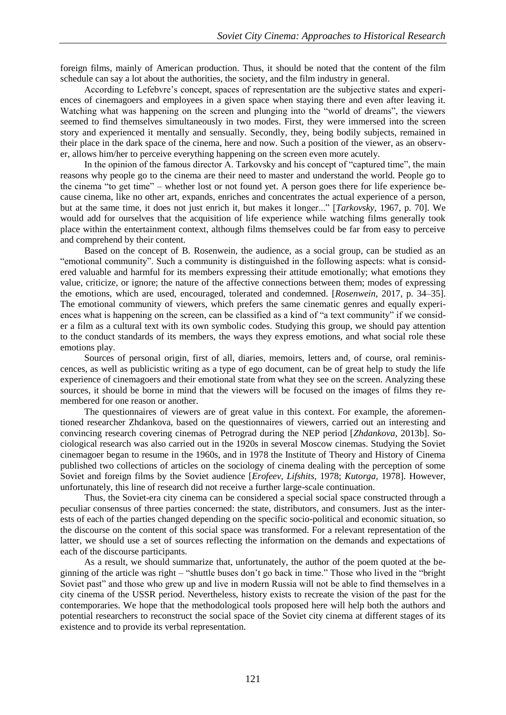foreign films, mainly of American production. Thus, it should be noted that the content of the film schedule can say a lot about the authorities, the society, and the film industry in general.

According to Lefebvre's concept, spaces of representation are the subjective states and experiences of cinemagoers and employees in a given space when staying there and even after leaving it. Watching what was happening on the screen and plunging into the "world of dreams", the viewers seemed to find themselves simultaneously in two modes. First, they were immersed into the screen story and experienced it mentally and sensually. Secondly, they, being bodily subjects, remained in their place in the dark space of the cinema, here and now. Such a position of the viewer, as an observer, allows him/her to perceive everything happening on the screen even more acutely.

In the opinion of the famous director A. Tarkovsky and his concept of "captured time", the main reasons why people go to the cinema are their need to master and understand the world. People go to the cinema "to get time" – whether lost or not found yet. A person goes there for life experience because cinema, like no other art, expands, enriches and concentrates the actual experience of a person, but at the same time, it does not just enrich it, but makes it longer..." [*Tarkovsky,* 1967, p. 70]. We would add for ourselves that the acquisition of life experience while watching films generally took place within the entertainment context, although films themselves could be far from easy to perceive and comprehend by their content.

Based on the concept of B. Rosenwein, the audience, as a social group, can be studied as an "emotional community". Such a community is distinguished in the following aspects: what is considered valuable and harmful for its members expressing their attitude emotionally; what emotions they value, criticize, or ignore; the nature of the affective connections between them; modes of expressing the emotions, which are used, encouraged, tolerated and condemned. [*Rosenwein,* 2017, p. 34–35]. The emotional community of viewers, which prefers the same cinematic genres and equally experiences what is happening on the screen, can be classified as a kind of "a text community" if we consider a film as a cultural text with its own symbolic codes. Studying this group, we should pay attention to the conduct standards of its members, the ways they express emotions, and what social role these emotions play.

Sources of personal origin, first of all, diaries, memoirs, letters and, of course, oral reminiscences, as well as publicistic writing as a type of ego document, can be of great help to study the life experience of cinemagoers and their emotional state from what they see on the screen. Analyzing these sources, it should be borne in mind that the viewers will be focused on the images of films they remembered for one reason or another.

The questionnaires of viewers are of great value in this context. For example, the aforementioned researcher Zhdankova, based on the questionnaires of viewers, carried out an interesting and convincing research covering cinemas of Petrograd during the NEP period [*Zhdankova,* 2013b]. Sociological research was also carried out in the 1920s in several Moscow cinemas. Studying the Soviet cinemagoer began to resume in the 1960s, and in 1978 the Institute of Theory and History of Cinema published two collections of articles on the sociology of cinema dealing with the perception of some Soviet and foreign films by the Soviet audience [*Erofeev, Lifshits,* 1978; *Kutorga,* 1978]. However, unfortunately, this line of research did not receive a further large-scale continuation.

Thus, the Soviet-era city cinema can be considered a special social space constructed through a peculiar consensus of three parties concerned: the state, distributors, and consumers. Just as the interests of each of the parties changed depending on the specific socio-political and economic situation, so the discourse on the content of this social space was transformed. For a relevant representation of the latter, we should use a set of sources reflecting the information on the demands and expectations of each of the discourse participants.

As a result, we should summarize that, unfortunately, the author of the poem quoted at the beginning of the article was right – "shuttle buses don't go back in time." Those who lived in the "bright Soviet past" and those who grew up and live in modern Russia will not be able to find themselves in a city cinema of the USSR period. Nevertheless, history exists to recreate the vision of the past for the contemporaries. We hope that the methodological tools proposed here will help both the authors and potential researchers to reconstruct the social space of the Soviet city cinema at different stages of its existence and to provide its verbal representation.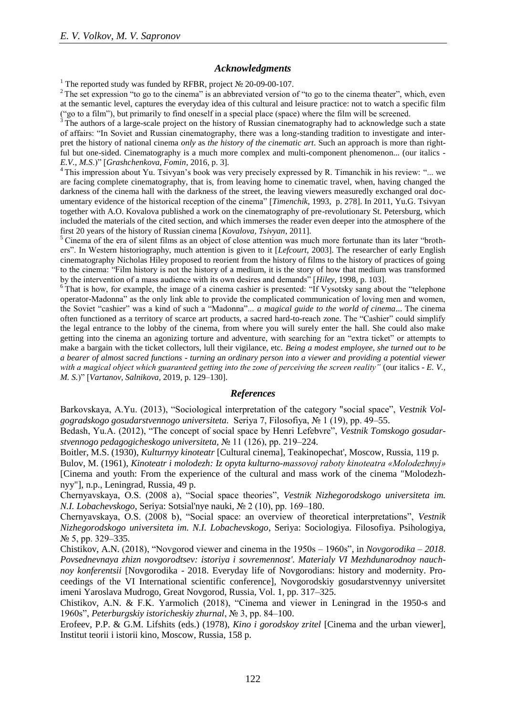### *Acknowledgments*

<sup>1</sup> The reported study was funded by RFBR, project № 20-09-00-107.

<sup>2</sup> The set expression "to go to the cinema" is an abbreviated version of "to go to the cinema theater", which, even at the semantic level, captures the everyday idea of this cultural and leisure practice: not to watch a specific film ("go to a film"), but primarily to find oneself in a special place (space) where the film will be screened.

The authors of a large-scale project on the history of Russian cinematography had to acknowledge such a state of affairs: "In Soviet and Russian cinematography, there was a long-standing tradition to investigate and interpret the history of national cinema *only* as *the history of the cinematic art*. Such an approach is more than rightful but one-sided. Cinematography is a much more complex and multi-component phenomenon... (our italics -*E.V., M.S*.)" [*Grashchenkova, Fomin*, 2016, p. 3].

<sup>4</sup> This impression about Yu. Tsivyan's book was very precisely expressed by R. Timanchik in his review: "... we are facing complete cinematography, that is, from leaving home to cinematic travel, when, having changed the darkness of the cinema hall with the darkness of the street, the leaving viewers measuredly exchanged oral documentary evidence of the historical reception of the cinema" [*Timenchik*, 1993, p. 278]. In 2011, Yu.G. Tsivyan together with A.O. Kovalova published a work on the cinematography of pre-revolutionary St. Petersburg, which included the materials of the cited section, and which immerses the reader even deeper into the atmosphere of the first 20 years of the history of Russian cinema [*Kovalova, Tsivyan*, 2011].

<sup>5</sup> Cinema of the era of silent films as an object of close attention was much more fortunate than its later "brothers". In Western historiography, much attention is given to it [*Lefcourt*, 2003]. The researcher of early English cinematography Nicholas Hiley proposed to reorient from the history of films to the history of practices of going to the cinema: "Film history is not the history of a medium, it is the story of how that medium was transformed by the intervention of a mass audience with its own desires and demands" [*Hiley,* 1998, p. 103].

<sup>6</sup> That is how, for example, the image of a cinema cashier is presented: "If Vysotsky sang about the "telephone" operator-Madonna" as the only link able to provide the complicated communication of loving men and women, the Soviet "cashier" was a kind of such a "Madonna"... *a magical guide to the world of cinema*... The cinema often functioned as a territory of scarce art products, a sacred hard-to-reach zone. The "Cashier" could simplify the legal entrance to the lobby of the cinema, from where you will surely enter the hall. She could also make getting into the cinema an agonizing torture and adventure, with searching for an "extra ticket" or attempts to make a bargain with the ticket collectors, lull their vigilance, etc. *Being a modest employee, she turned out to be a bearer of almost sacred functions - turning an ordinary person into a viewer and providing a potential viewer with a magical object which guaranteed getting into the zone of perceiving the screen reality"* (our italics - *E. V., M. S.*)" [*Vartanov, Salnikova,* 2019*,* p. 129–130].

### *References*

Barkovskaya, A.Yu. (2013), "Sociological interpretation of the category "social space", *Vestnik Volgogradskogo gosudarstvennogo universiteta.* Seriya 7, Filosofiya, № 1 (19), pp. 49–55.

Bedash, Yu.A. (2012), "The concept of social space by Henri Lefebvre", *Vestnik Tomskogo gosudarstvennogo pedagogicheskogo universiteta,* № 11 (126), pp. 219–224.

Boitler, M.S. (1930), *Kulturnyy kinoteatr* [Cultural cinema]*,* Teakinopechat', Moscow, Russia, 119 p.

Bulov, M. (1961), *Kinoteatr i molodezh: Iz opyta kulturno-massovoj raboty kinoteatra «Molodezhnyj»*  [Cinema and youth: From the experience of the cultural and mass work of the cinema "Molodezhnyy"], n.p., Leningrad, Russia, 49 p*.*

Chernyavskaya, O.S. (2008 a), "Social space theories", *Vestnik Nizhegorodskogo universiteta im. N.I. Lobachevskogo*, Seriya: Sotsial'nye nauki, № 2 (10), pp. 169–180.

Chernyavskaya, O.S. (2008 b), "Social space: an overview of theoretical interpretations", *Vestnik Nizhegorodskogo universiteta im. N.I. Lobachevskogo*, Seriya: Sociologiya. Filosofiya. Psihologiya, № 5, pp. 329–335.

Chistikov, A.N. (2018), "Novgorod viewer and cinema in the 1950s – 1960s", in *Novgorodika – 2018. Povsednevnaya zhizn novgorodtsev: istoriya i sovremennost'. Materialy VI Mezhdunarodnoy nauchnoy konferentsii* [Novgorodika - 2018. Everyday life of Novgorodians: history and modernity. Proceedings of the VI International scientific conference], Novgorodskiy gosudarstvennyy universitet imeni Yaroslava Mudrogo, Great Novgorod, Russia, Vol. 1, pp. 317–325.

Chistikov, A.N. & F.K. Yarmolich (2018), "Cinema and viewer in Leningrad in the 1950-s and 1960s", *Peterburgskiy istoricheskiy zhurnal*, № 3, pp. 84–100.

Erofeev, P.P. & G.M. Lifshits (eds.) (1978), *Kino i gorodskoy zritel* [Cinema and the urban viewer], Institut teorii i istorii kino, Moscow, Russia, 158 p.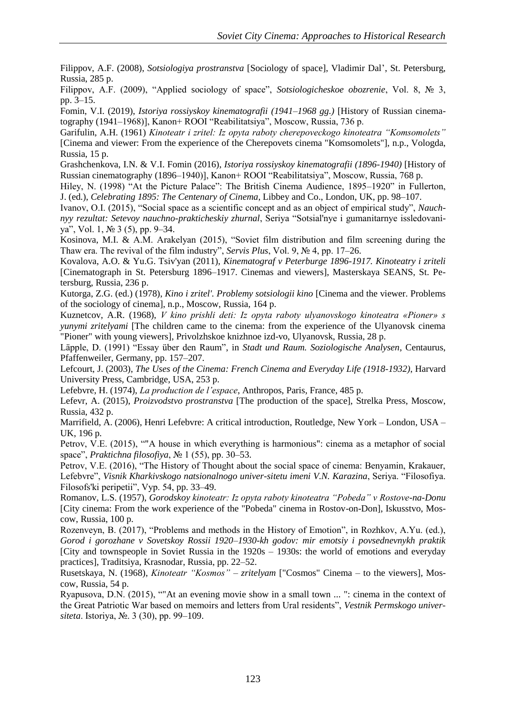Filippov, A.F. (2008), *Sotsiologiya prostranstva* [Sociology of space], Vladimir Dal', St. Petersburg, Russia, 285 p.

Filippov, A.F. (2009), "Applied sociology of space", *Sotsiologicheskoe obozrenie*, Vol. 8, № 3, pp. 3–15.

Fomin, V.I. (2019), *Istoriya rossiyskoy kinematografii (1941*–*1968 gg.)* [History of Russian cinematography (1941–1968)], Kanon+ ROOI "Reabilitatsiya", Moscow, Russia, 736 p.

Garifulin, A.H. (1961) *Kinoteatr i zritel: Iz opyta raboty cherepoveckogo kinoteatra "Komsomolets"* [Cinema and viewer: From the experience of the Cherepovets cinema "Komsomolets"], n.p., Vologda, Russia, 15 p.

Grashchenkova, I.N. & V.I. Fomin (2016), *Istoriya rossiyskoy kinematografii (1896-1940)* [History of Russian cinematography (1896–1940)], Kanon+ ROOI "Reabilitatsiya", Moscow, Russia, 768 p.

Hiley, N. (1998) "At the Picture Palace": The British Cinema Audience, 1895–1920" in Fullerton, J. (ed.), *Celebrating 1895: The Centenary of Cinema*, Libbey and Co., London, UK, pp. 98–107.

Ivanov, O.I. (2015), "Social space as a scientific concept and as an object of empirical study", *Nauchnyy rezultat: Setevoy nauchno-prakticheskiy zhurnal*, Seriya "Sotsial'nye i gumanitarnye issledovaniya", Vol. 1, № 3 (5), pp. 9–34.

Kosinova, M.I. & A.M. Arakelyan (2015), "Soviet film distribution and film screening during the Thaw era. The revival of the film industry", *Servis Plus*, Vol. 9, № 4, pp. 17–26.

Kovalova, A.O. & Yu.G. Tsiv'yan (2011), *Kinematograf v Peterburge 1896-1917. Kinoteatry i zriteli*  [Cinematograph in St. Petersburg 1896–1917. Cinemas and viewers], Masterskaya SEANS, St. Petersburg, Russia, 236 p.

Kutorga, Z.G. (ed.) (1978), *Kino i zritel'. Problemy sotsiologii kino* [Cinema and the viewer. Problems of the sociology of cinema], n.p., Moscow, Russia, 164 p.

Kuznetcov, A.R. (1968), *V kino prishli deti: Iz opyta raboty ulyanovskogo kinoteatra «Pioner» s yunymi zritelyami* [The children came to the cinema: from the experience of the Ulyanovsk cinema "Pioner" with young viewers], Privolzhskoe knizhnoe izd-vo, Ulyanovsk, Russia, 28 p.

Läpple, D. (1991) "Essay über den Raum", in *Stadt und Raum. Soziologische Analysen*, Centaurus, Pfaffenweiler, Germany, pp. 157–207.

Lefcourt, J. (2003), *The Uses of the Cinema: French Cinema and Everyday Life (1918-1932)*, Harvard University Press, Cambridge, USA, 253 p.

Lefebvre, H. (1974), *La production de l'espace*, Anthropos, Paris, France, 485 p.

Lefevr, A. (2015), *Proizvodstvo prostranstva* [The production of the space], Strelka Press, Moscow, Russia, 432 p.

Marrifield, A. (2006), Henri Lefebvre: A critical introduction, Routledge, New York – London, USA – UK, 196 p.

Petrov, V.E. (2015), ""A house in which everything is harmonious": cinema as a metaphor of social space", *Praktichna filosofiya*, № 1 (55), pp. 30–53.

Petrov, V.E. (2016), "The History of Thought about the social space of cinema: Benyamin, Krakauer, Lefebvre", *Visnik Kharkivskogo natsionalnogo univer-sitetu imeni V.N. Karazina*, Seriya. "Filosofiya. Filosofs'ki peripetii", Vyp. 54, pp. 33–49.

Romanov, L.S. (1957), *Gorodskoy kinoteatr: Iz opyta raboty kinoteatra "Pobeda" v Rostove-na-Donu* [City cinema: From the work experience of the "Pobeda" cinema in Rostov-on-Don], Iskusstvo, Moscow, Russia, 100 p.

Rozenveyn, B. (2017), "Problems and methods in the History of Emotion", in Rozhkov, A.Yu. (ed.), *Gorod i gorozhane v Sovetskoy Rossii 1920–1930-kh godov: mir emotsiy i povsednevnykh praktik* [City and townspeople in Soviet Russia in the 1920s – 1930s: the world of emotions and everyday practices], Traditsiya, Krasnodar, Russia, pp. 22–52.

Rusetskaya, N. (1968), *Kinoteatr "Kosmos" – zritelyam* ["Cosmos" Cinema – to the viewers], Moscow, Russia, 54 p.

Ryapusova, D.N. (2015), ""At an evening movie show in a small town ... ": cinema in the context of the Great Patriotic War based on memoirs and letters from Ural residents", *Vestnik Permskogo universiteta*. Istoriya, №. 3 (30), pp. 99–109.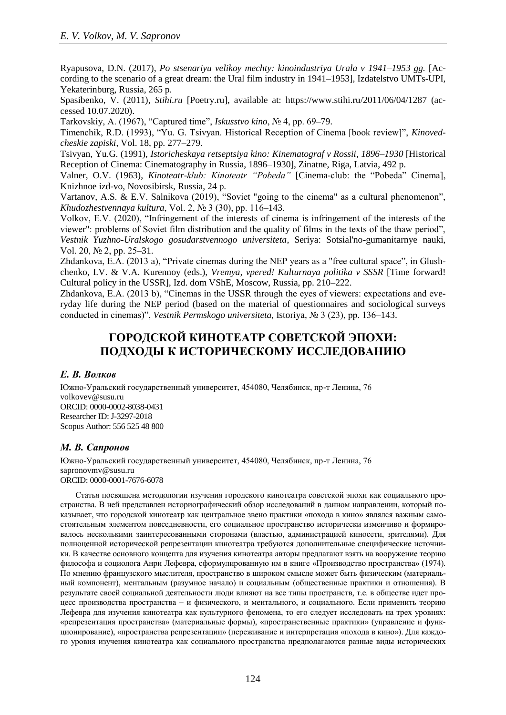Ryapusova, D.N. (2017), *Po stsenariyu velikoy mechty: kinoindustriya Urala v 1941–1953 gg.* [According to the scenario of a great dream: the Ural film industry in 1941–1953], Izdatelstvo UMTs-UPI, Yekaterinburg, Russia, 265 p.

Spasibenko, V. (2011), *Stihi.ru* [Poetry.ru], available at: https://www.stihi.ru/2011/06/04/1287 (accessed 10.07.2020).

Tarkovskiy, A. (1967), "Captured time", *Iskusstvo kino*, № 4, pp. 69–79.

Timenchik, R.D. (1993), "Yu. G. Tsivyan. Historical Reception of Cinema [book review]", *Kinovedcheskie zapiski*, Vol. 18, pp. 277–279.

Tsivyan, Yu.G. (1991), *Istoricheskaya retseptsiya kino: Kinematograf v Rossii, 1896–1930* [Historical Reception of Cinema: Cinematography in Russia, 1896–1930], Zinatne, Riga, Latvia, 492 p.

Valner, O.V. (1963), *Kinoteatr-klub: Kinoteatr "Pobeda"* [Cinema-club: the "Pobeda" Cinema], Knizhnoe izd-vo, Novosibirsk, Russia, 24 p*.*

Vartanov, A.S. & E.V. Salnikova (2019), "Soviet "going to the cinema" as a cultural phenomenon", *Khudozhestvennaya kultura*, Vol. 2, № 3 (30), pp. 116–143.

Volkov, E.V. (2020), "Infringement of the interests of cinema is infringement of the interests of the viewer": problems of Soviet film distribution and the quality of films in the texts of the thaw period", *Vestnik Yuzhno-Uralskogo gosudarstvennogo universiteta*, Seriya: Sotsial'no-gumanitarnye nauki, Vol. 20, № 2, pp. 25–31.

Zhdankova, E.A. (2013 a), "Private cinemas during the NEP years as a "free cultural space", in Glushchenko, I.V. & V.A. Kurennoy (eds.), *Vremya, vpered! Kulturnaya politika v SSSR* [Time forward! Cultural policy in the USSR], Izd. dom VShE, Moscow, Russia, pp. 210–222.

Zhdankova, E.A. (2013 b), "Cinemas in the USSR through the eyes of viewers: expectations and everyday life during the NEP period (based on the material of questionnaires and sociological surveys conducted in cinemas)", *Vestnik Permskogo universiteta*, Istoriya, № 3 (23), pp. 136–143.

# **ГОРОДСКОЙ КИНОТЕАТР СОВЕТСКОЙ ЭПОХИ: ПОДХОДЫ К ИСТОРИЧЕСКОМУ ИССЛЕДОВАНИЮ**

### *Е. В. Волков*

Южно-Уральский государственный университет, 454080, Челябинск, пр-т Ленина, 76 volkovev@susu.ru ORCID: 0000-0002-8038-0431 Researcher ID: J-3297-2018 Scopus Author: 556 525 48 800

# *М. В. Сапронов*

Южно-Уральский государственный университет, 454080, Челябинск, пр-т Ленина, 76 sapronovmv@susu.ru ORCID: 0000-0001-7676-6078

Статья посвящена методологии изучения городского кинотеатра советской эпохи как социального пространства. В ней представлен историографический обзор исследований в данном направлении, который показывает, что городской кинотеатр как центральное звено практики «похода в кино» являлся важным самостоятельным элементом повседневности, его социальное пространство исторически изменчиво и формировалось несколькими заинтересованными сторонами (властью, администрацией киносети, зрителями). Для полноценной исторической репрезентации кинотеатра требуются дополнительные специфические источники. В качестве основного концепта для изучения кинотеатра авторы предлагают взять на вооружение теорию философа и социолога Анри Лефевра, сформулированную им в книге «Производство пространства» (1974). По мнению французского мыслителя, пространство в широком смысле может быть физическим (материальный компонент), ментальным (разумное начало) и социальным (общественные практики и отношения). В результате своей социальной деятельности люди влияют на все типы пространств, т.е. в обществе идет процесс производства пространства – и физического, и ментального, и социального. Если применить теорию Лефевра для изучения кинотеатра как культурного феномена, то его следует исследовать на трех уровнях: «репрезентация пространства» (материальные формы), «пространственные практики» (управление и функционирование), «пространства репрезентации» (переживание и интерпретация «похода в кино»). Для каждого уровня изучения кинотеатра как социального пространства предполагаются разные виды исторических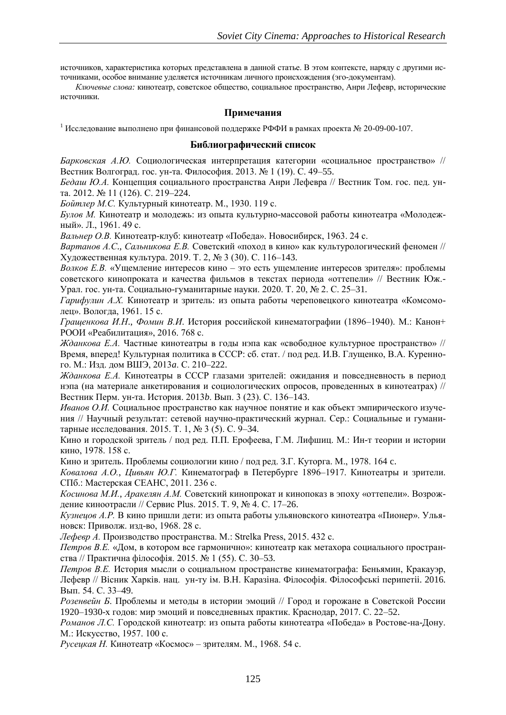источников, характеристика которых представлена в данной статье. В этом контексте, наряду с другими источниками, особое внимание уделяется источникам личного происхождения (эго-документам).

*Ключевые слова:* кинотеатр, советское общество, социальное пространство, Анри Лефевр, исторические источники.

# **Примечания**

<sup>1</sup> Исследование выполнено при финансовой поддержке РФФИ в рамках проекта № 20-09-00-107.

### **Библиографический список**

*Барковская А.Ю.* Социологическая интерпретация категории «социальное пространство» // Вестник Волгоград. гос. ун-та. Философия. 2013. № 1 (19). С. 49–55.

*Бедаш Ю.А.* Концепция социального пространства Анри Лефевра // Вестник Том. гос. пед. унта. 2012. № 11 (126). С. 219–224.

*Бойтлер М.С.* Культурный кинотеатр. М., 1930. 119 с.

*Булов М.* Кинотеатр и молодежь: из опыта культурно-массовой работы кинотеатра «Молодежный». Л., 1961. 49 с.

*Вальнер О.В.* Кинотеатр-клуб: кинотеатр «Победа». Новосибирск, 1963. 24 с.

*Вартанов А.С*., *Сальникова Е.В.* Советский «поход в кино» как культурологический феномен // Художественная культура. 2019. Т. 2, № 3 (30). С. 116–143.

*Волков Е.В.* «Ущемление интересов кино – это есть ущемление интересов зрителя»: проблемы советского кинопроката и качества фильмов в текстах периода «оттепели» // Вестник Юж.- Урал. гос. ун-та. Социально-гуманитарные науки. 2020. Т. 20, № 2. С. 25–31.

*Гарифулин А.Х.* Кинотеатр и зритель: из опыта работы череповецкого кинотеатра «Комсомолец». Вологда, 1961. 15 с.

*Гращенкова И.Н*., *Фомин В.И*. История российской кинематографии (1896–1940). М.: Канон+ РООИ «Реабилитация», 2016. 768 с.

*Жданкова Е.А.* Частные кинотеатры в годы нэпа как «свободное культурное пространство» // Время, вперед! Культурная политика в СССР: сб. стат. / под ред. И.В. Глущенко, В.А. Куренного. М.: Изд. дом ВШЭ, 2013*a*. С. 210–222.

*Жданкова Е.А.* Кинотеатры в СССР глазами зрителей: ожидания и повседневность в период нэпа (на материале анкетирования и социологических опросов, проведенных в кинотеатрах) // Вестник Перм. ун-та. История. 2013*b*. Вып. 3 (23). С. 136–143.

*Иванов О.И.* Социальное пространство как научное понятие и как объект эмпирического изучения // Научный результат: сетевой научно-практический журнал. Сер.: Социальные и гуманитарные исследования. 2015. Т. 1, № 3 (5). С. 9–34.

Кино и городской зритель / под ред. П.П. Ерофеева, Г.М. Лифшиц. М.: Ин-т теории и истории кино, 1978. 158 с.

Кино и зритель. Проблемы социологии кино / под ред. З.Г. Куторга. М., 1978. 164 c.

*Ковалова А.О.*, *Цивьян Ю.Г.* Кинематограф в Петербурге 1896–1917. Кинотеатры и зрители. СПб.: Мастерская СЕАНС, 2011. 236 с.

*Косинова М.И.*, *Аракелян А.М.* Советский кинопрокат и кинопоказ в эпоху «оттепели». Возрождение киноотрасли // Сервис Plus. 2015. Т. 9, № 4. С. 17–26.

*Кузнецов А.Р.* В кино пришли дети: из опыта работы ульяновского кинотеатра «Пионер». Ульяновск: Приволж. изд-во, 1968. 28 с.

*Лефевр А.* Производство пространства. М.: Strelka Press, 2015. 432 с.

*Петров В.Е.* «Дом, в котором все гармонично»: кинотеатр как метахора социального пространства // Практична фiлософiя. 2015. № 1 (55). С. 30–53.

*Петров В.Е.* История мысли о социальном пространстве кинематографа: Беньямин, Кракауэр, Лефевр // Вiсник Харкiв. нац. ун-ту iм. В.Н. Каразiна. Фiлософiя. Фiлософськi перипетii. 2016. Вып. 54. С. 33–49.

*Розенвейн Б*. Проблемы и методы в истории эмоций // Город и горожане в Советской России 1920–1930-х годов: мир эмоций и повседневных практик. Краснодар, 2017. С. 22–52.

*Романов Л.С.* Городской кинотеатр: из опыта работы кинотеатра «Победа» в Ростове-на-Дону. М.: Искусство, 1957. 100 с.

*Русецкая Н.* Кинотеатр «Космос» – зрителям. М., 1968. 54 с.